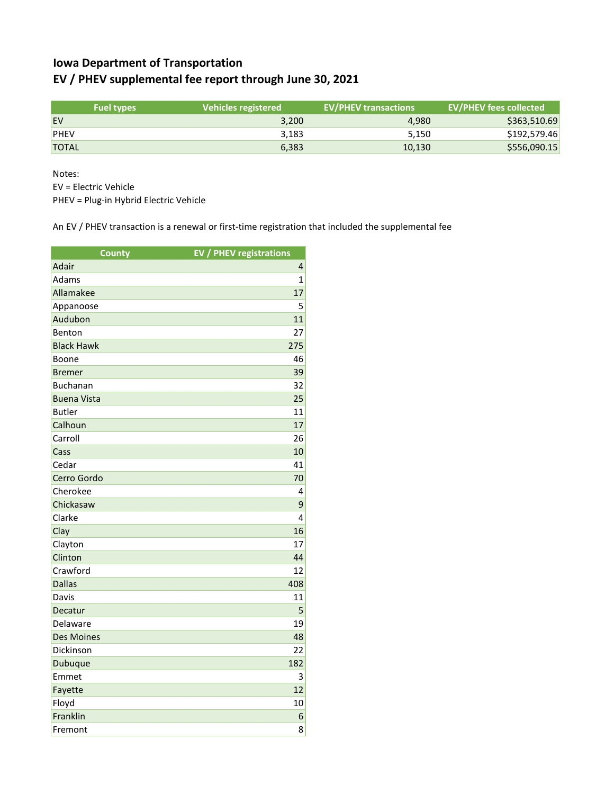## **Iowa Department of Transportation EV / PHEV supplemental fee report through June 30, 2021**

|              | <b>Fuel types</b> | l Vehicles registered | <b>EV/PHEV transactions</b> | <b>EV/PHEV fees collected</b> |
|--------------|-------------------|-----------------------|-----------------------------|-------------------------------|
| <b>EV</b>    |                   | 3.200                 | 4.980                       | \$363,510.69                  |
| <b>PHEV</b>  |                   | 3.183                 | 5.150                       | \$192,579.46                  |
| <b>TOTAL</b> |                   | 6.383                 | 10,130                      | \$556,090.15                  |

Notes:

EV = Electric Vehicle

PHEV = Plug-in Hybrid Electric Vehicle

An EV / PHEV transaction is a renewal or first-time registration that included the supplemental fee

| <b>County</b>      | <b>EV</b> / PHEV registrations |
|--------------------|--------------------------------|
| Adair              | 4                              |
| Adams              | $\mathbf{1}$                   |
| Allamakee          | 17                             |
| Appanoose          | 5                              |
| Audubon            | 11                             |
| Benton             | 27                             |
| <b>Black Hawk</b>  | 275                            |
| Boone              | 46                             |
| <b>Bremer</b>      | 39                             |
| <b>Buchanan</b>    | 32                             |
| <b>Buena Vista</b> | 25                             |
| <b>Butler</b>      | 11                             |
| Calhoun            | 17                             |
| Carroll            | 26                             |
| Cass               | 10                             |
| Cedar              | 41                             |
| Cerro Gordo        | 70                             |
| Cherokee           | 4                              |
| Chickasaw          | 9                              |
| Clarke             | 4                              |
| Clay               | 16                             |
| Clayton            | 17                             |
| Clinton            | 44                             |
| Crawford           | 12                             |
| <b>Dallas</b>      | 408                            |
| Davis              | 11                             |
| Decatur            | 5                              |
| Delaware           | 19                             |
| <b>Des Moines</b>  | 48                             |
| Dickinson          | 22                             |
| Dubuque            | 182                            |
| Emmet              | 3                              |
| Fayette            | 12                             |
| Floyd              | 10                             |
| Franklin           | 6                              |
| Fremont            | 8                              |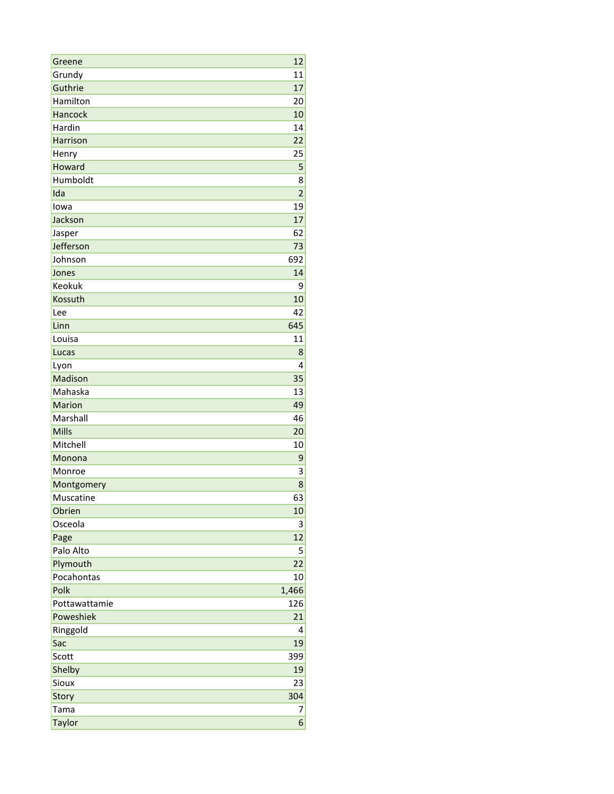| Greene        | 12             |
|---------------|----------------|
| Grundy        | 11             |
| Guthrie       | 17             |
| Hamilton      | 20             |
| Hancock       | 10             |
| Hardin        | 14             |
| Harrison      | 22             |
| Henry         | 25             |
| Howard        | 5              |
| Humboldt      | 8              |
| Ida           | $\overline{2}$ |
| lowa          | 19             |
| Jackson       | 17             |
| Jasper        | 62             |
| Jefferson     | 73             |
| Johnson       | 692            |
| Jones         | 14             |
| Keokuk        | 9              |
| Kossuth       | 10             |
| Lee           | 42             |
| Linn          | 645            |
| Louisa        | 11             |
| Lucas         | 8              |
| Lyon          | 4              |
| Madison       | 35             |
| Mahaska       | 13             |
| Marion        | 49             |
| Marshall      | 46             |
| <b>Mills</b>  | 20             |
| Mitchell      | 10             |
| Monona        | 9              |
| Monroe        | 3              |
| Montgomery    | 8              |
| Muscatine     | 63             |
| Obrien        | 10             |
| Osceola       | 3              |
| Page          | 12             |
| Palo Alto     | 5              |
| Plymouth      | 22             |
| Pocahontas    | 10             |
| Polk          | 1,466          |
| Pottawattamie | 126            |
| Poweshiek     | 21             |
| Ringgold      | 4              |
| Sac           | 19             |
| Scott         | 399            |
| Shelby        | 19             |
| Sioux         | 23             |
| Story         | 304            |
| Tama          | 7              |
| Taylor        | 6              |